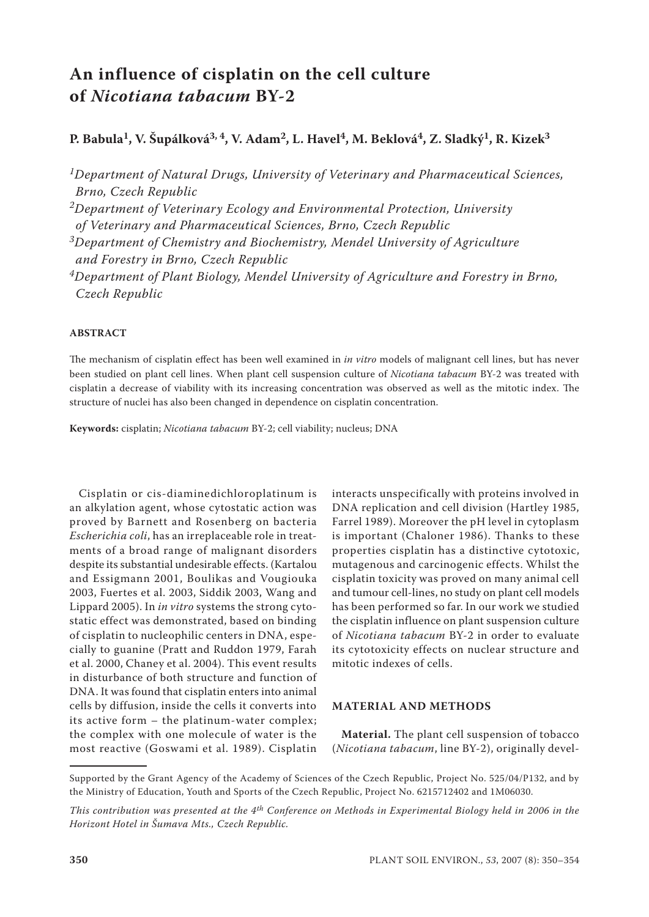# **An influence of cisplatin on the cell culture of** *Nicotiana tabacum* **BY-2**

## P. Babula<sup>1</sup>, V. Šupálková<sup>3, 4</sup>, V. Adam<sup>2</sup>, L. Havel<sup>4</sup>, M. Beklová<sup>4</sup>, Z. Sladký<sup>1</sup>, R. Kizek<sup>3</sup>

*1Department of Natural Drugs, University of Veterinary and Pharmaceutical Sciences, Brno, Czech Republic*

*2Department of Veterinary Ecology and Environmental Protection, University of Veterinary and Pharmaceutical Sciences, Brno, Czech Republic*

*3Department of Chemistry and Biochemistry, Mendel University of Agriculture and Forestry in Brno, Czech Republic*

*4Department of Plant Biology, Mendel University of Agriculture and Forestry in Brno, Czech Republic*

### **ABSTRACT**

The mechanism of cisplatin effect has been well examined in *in vitro* models of malignant cell lines, but has never been studied on plant cell lines. When plant cell suspension culture of *Nicotiana tabacum* BY-2 was treated with cisplatin a decrease of viability with its increasing concentration was observed as well as the mitotic index. The structure of nuclei has also been changed in dependence on cisplatin concentration.

**Keywords:** cisplatin; *Nicotiana tabacum* BY-2; cell viability; nucleus; DNA

Cisplatin or cis-diaminedichloroplatinum is an alkylation agent, whose cytostatic action was proved by Barnett and Rosenberg on bacteria *Escherichia coli*, has an irreplaceable role in treatments of a broad range of malignant disorders despite its substantial undesirable effects. (Kartalou and Essigmann 2001, Boulikas and Vougiouka 2003, Fuertes et al. 2003, Siddik 2003, Wang and Lippard 2005). In *in vitro* systems the strong cytostatic effect was demonstrated, based on binding of cisplatin to nucleophilic centers in DNA, especially to guanine (Pratt and Ruddon 1979, Farah et al. 2000, Chaney et al. 2004). This event results in disturbance of both structure and function of DNA. It was found that cisplatin enters into animal cells by diffusion, inside the cells it converts into its active form – the platinum-water complex; the complex with one molecule of water is the most reactive (Goswami et al. 1989). Cisplatin interacts unspecifically with proteins involved in DNA replication and cell division (Hartley 1985, Farrel 1989). Moreover the pH level in cytoplasm is important (Chaloner 1986). Thanks to these properties cisplatin has a distinctive cytotoxic, mutagenous and carcinogenic effects. Whilst the cisplatin toxicity was proved on many animal cell and tumour cell-lines, no study on plant cell models has been performed so far. In our work we studied the cisplatin influence on plant suspension culture of *Nicotiana tabacum* BY-2 in order to evaluate its cytotoxicity effects on nuclear structure and mitotic indexes of cells.

### **MATERIAL AND METHODS**

**Material.** The plant cell suspension of tobacco (*Nicotiana tabacum*, line BY-2), originally devel-

Supported by the Grant Agency of the Academy of Sciences of the Czech Republic, Project No. 525/04/P132, and by the Ministry of Education, Youth and Sports of the Czech Republic, Project No. 6215712402 and 1M06030.

*This contribution was presented at the 4th Conference on Methods in Experimental Biology held in 2006 in the Horizont Hotel in Šumava Mts., Czech Republic.*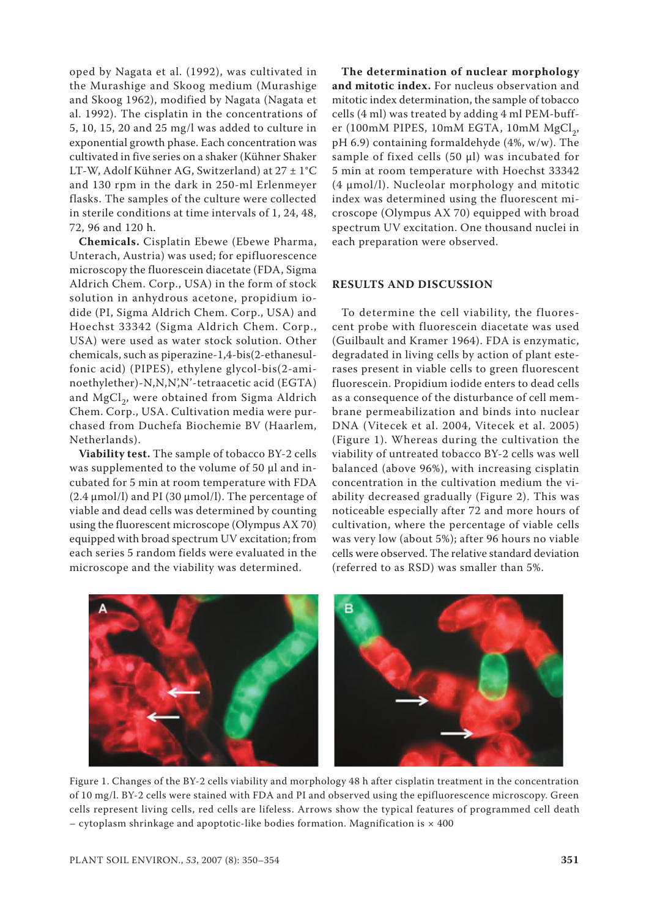oped by Nagata et al. (1992), was cultivated in the Murashige and Skoog medium (Murashige and Skoog 1962), modified by Nagata (Nagata et al. 1992). The cisplatin in the concentrations of 5, 10, 15, 20 and 25 mg/l was added to culture in exponential growth phase. Each concentration was cultivated in five series on a shaker (Kühner Shaker LT-W, Adolf Kühner AG, Switzerland) at 27 ± 1°C and 130 rpm in the dark in 250-ml Erlenmeyer flasks. The samples of the culture were collected in sterile conditions at time intervals of 1, 24, 48, 72, 96 and 120 h.

**Chemicals.** Cisplatin Ebewe (Ebewe Pharma, Unterach, Austria) was used; for epifluorescence microscopy the fluorescein diacetate (FDA, Sigma Aldrich Chem. Corp., USA) in the form of stock solution in anhydrous acetone, propidium iodide (PI, Sigma Aldrich Chem. Corp., USA) and Hoechst 33342 (Sigma Aldrich Chem. Corp., USA) were used as water stock solution. Other chemicals, such as piperazine-1,4-bis(2-ethanesulfonic acid) (PIPES), ethylene glycol-bis(2-aminoethylether)-N,N,N',N'-tetraacetic acid (EGTA) and MgCl<sub>2</sub>, were obtained from Sigma Aldrich Chem. Corp., USA. Cultivation media were purchased from Duchefa Biochemie BV (Haarlem, Netherlands).

**Viability test.** The sample of tobacco BY-2 cells was supplemented to the volume of 50 µl and incubated for 5 min at room temperature with FDA  $(2.4 \mu mol/l)$  and PI (30  $\mu mol/l$ ). The percentage of viable and dead cells was determined by counting using the fluorescent microscope (Olympus AX 70) equipped with broad spectrum UV excitation; from each series 5 random fields were evaluated in the microscope and the viability was determined.

**The determination of nuclear morphology and mitotic index.** For nucleus observation and mitotic index determination, the sample of tobacco cells (4 ml) was treated by adding 4 ml PEM-buffer (100mM PIPES, 10mM EGTA, 10mM  $MgCl<sub>2</sub>$ , pH 6.9) containing formaldehyde (4%, w/w). The sample of fixed cells (50 µl) was incubated for 5 min at room temperature with Hoechst 33342 (4 µmol/l). Nucleolar morphology and mitotic index was determined using the fluorescent microscope (Olympus AX 70) equipped with broad spectrum UV excitation. One thousand nuclei in each preparation were observed.

#### **RESULTS AND DISCUSSION**

To determine the cell viability, the fluorescent probe with fluorescein diacetate was used (Guilbault and Kramer 1964). FDA is enzymatic, degradated in living cells by action of plant esterases present in viable cells to green fluorescent fluorescein. Propidium iodide enters to dead cells as a consequence of the disturbance of cell membrane permeabilization and binds into nuclear DNA (Vitecek et al. 2004, Vitecek et al. 2005) (Figure 1). Whereas during the cultivation the viability of untreated tobacco BY-2 cells was well balanced (above 96%), with increasing cisplatin concentration in the cultivation medium the viability decreased gradually (Figure 2). This was noticeable especially after 72 and more hours of cultivation, where the percentage of viable cells was very low (about 5%); after 96 hours no viable cells were observed. The relative standard deviation (referred to as RSD) was smaller than 5%.



Figure 1. Changes of the BY-2 cells viability and morphology 48 h after cisplatin treatment in the concentration of 10 mg/l. BY-2 cells were stained with FDA and PI and observed using the epifluorescence microscopy. Green cells represent living cells, red cells are lifeless. Arrows show the typical features of programmed cell death – cytoplasm shrinkage and apoptotic-like bodies formation. Magnification is  $\times$  400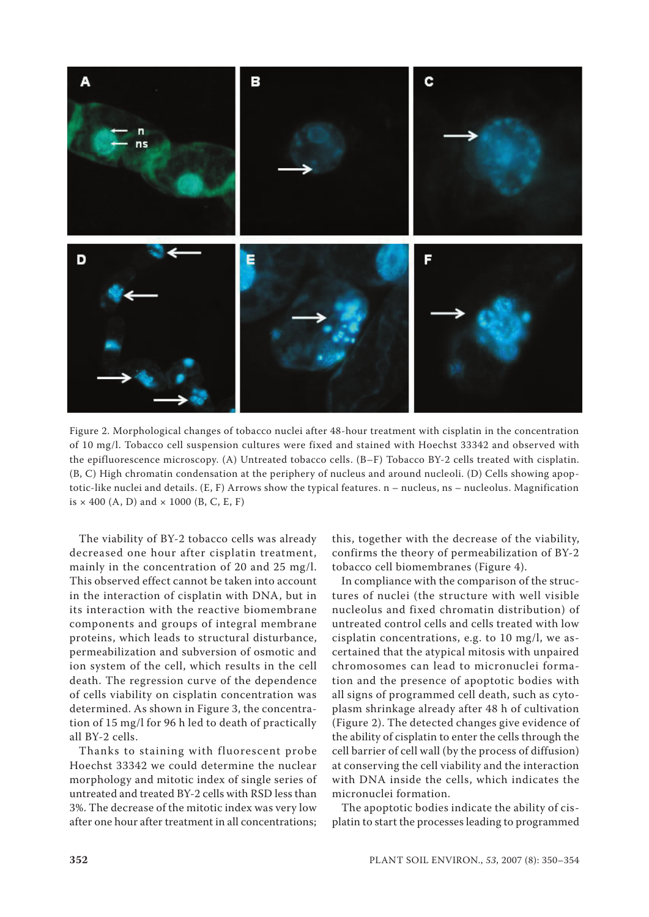

Figure 2. Morphological changes of tobacco nuclei after 48-hour treatment with cisplatin in the concentration of 10 mg/l. Tobacco cell suspension cultures were fixed and stained with Hoechst 33342 and observed with the epifluorescence microscopy. (A) Untreated tobacco cells. (B–F) Tobacco BY-2 cells treated with cisplatin. (B, C) High chromatin condensation at the periphery of nucleus and around nucleoli. (D) Cells showing apoptotic-like nuclei and details. (E, F) Arrows show the typical features. n – nucleus, ns – nucleolus. Magnification is  $\times$  400 (A, D) and  $\times$  1000 (B, C, E, F)

The viability of BY-2 tobacco cells was already decreased one hour after cisplatin treatment, mainly in the concentration of 20 and 25 mg/l. This observed effect cannot be taken into account in the interaction of cisplatin with DNA, but in its interaction with the reactive biomembrane components and groups of integral membrane proteins, which leads to structural disturbance, permeabilization and subversion of osmotic and ion system of the cell, which results in the cell death. The regression curve of the dependence of cells viability on cisplatin concentration was determined. As shown in Figure 3, the concentration of 15 mg/l for 96 h led to death of practically all BY-2 cells.

Thanks to staining with fluorescent probe Hoechst 33342 we could determine the nuclear morphology and mitotic index of single series of untreated and treated BY-2 cells with RSD less than 3%. The decrease of the mitotic index was very low after one hour after treatment in all concentrations;

this, together with the decrease of the viability, confirms the theory of permeabilization of BY-2 tobacco cell biomembranes (Figure 4).

In compliance with the comparison of the structures of nuclei (the structure with well visible nucleolus and fixed chromatin distribution) of untreated control cells and cells treated with low cisplatin concentrations, e.g. to 10 mg/l, we ascertained that the atypical mitosis with unpaired chromosomes can lead to micronuclei formation and the presence of apoptotic bodies with all signs of programmed cell death, such as cytoplasm shrinkage already after 48 h of cultivation (Figure 2). The detected changes give evidence of the ability of cisplatin to enter the cells through the cell barrier of cell wall (by the process of diffusion) at conserving the cell viability and the interaction with DNA inside the cells, which indicates the micronuclei formation.

The apoptotic bodies indicate the ability of cisplatin to start the processes leading to programmed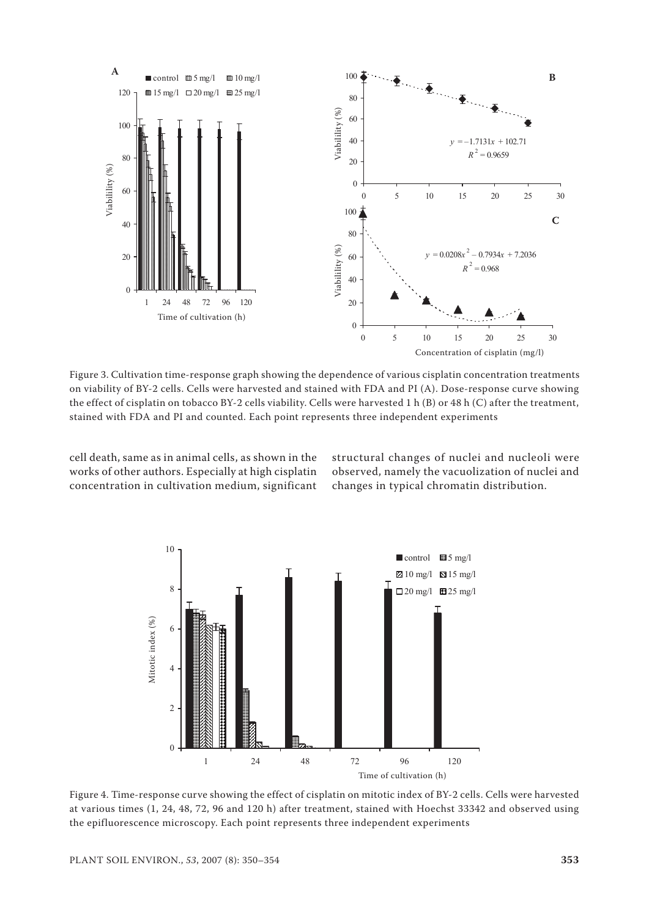

Figure 3. Cultivation time-response graph showing the dependence of various cisplatin concentration treatments on viability of BY-2 cells. Cells were harvested and stained with FDA and PI (A). Dose-response curve showing the effect of cisplatin on tobacco BY-2 cells viability. Cells were harvested 1 h (B) or 48 h (C) after the treatment, stained with FDA and PI and counted. Each point represents three independent experiments

cell death, same as in animal cells, as shown in the works of other authors. Especially at high cisplatin concentration in cultivation medium, significant

structural changes of nuclei and nucleoli were observed, namely the vacuolization of nuclei and changes in typical chromatin distribution.



Figure 4. Time-response curve showing the effect of cisplatin on mitotic index of BY-2 cells. Cells were harvested at various times (1, 24, 48, 72, 96 and 120 h) after treatment, stained with Hoechst 33342 and observed using the epifluorescence microscopy. Each point represents three independent experiments